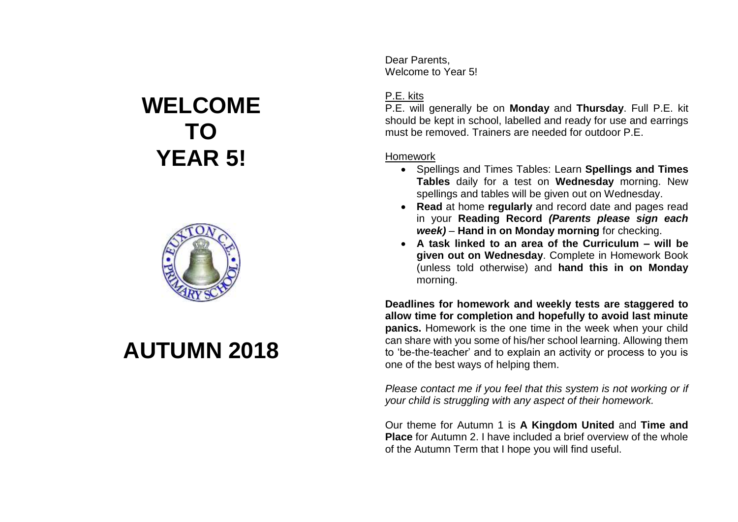## **WELCOME TO YEAR 5!**



## **AUTUMN 2018**

Dear Parents, Welcome to Year 5!

## P.E. kits

P.E. will generally be on **Monday** and **Thursday**. Full P.E. kit should be kept in school, labelled and ready for use and earrings must be removed. Trainers are needed for outdoor P.E.

## Homework

- Spellings and Times Tables: Learn **Spellings and Times Tables** daily for a test on **Wednesday** morning. New spellings and tables will be given out on Wednesday.
- **Read** at home **regularly** and record date and pages read in your **Reading Record** *(Parents please sign each week)* – **Hand in on Monday morning** for checking.
- **A task linked to an area of the Curriculum – will be given out on Wednesday**. Complete in Homework Book (unless told otherwise) and **hand this in on Monday** morning.

**Deadlines for homework and weekly tests are staggered to allow time for completion and hopefully to avoid last minute panics.** Homework is the one time in the week when your child can share with you some of his/her school learning. Allowing them to 'be-the-teacher' and to explain an activity or process to you is one of the best ways of helping them.

*Please contact me if you feel that this system is not working or if your child is struggling with any aspect of their homework.*

Our theme for Autumn 1 is **A Kingdom United** and **Time and Place** for Autumn 2. I have included a brief overview of the whole of the Autumn Term that I hope you will find useful.